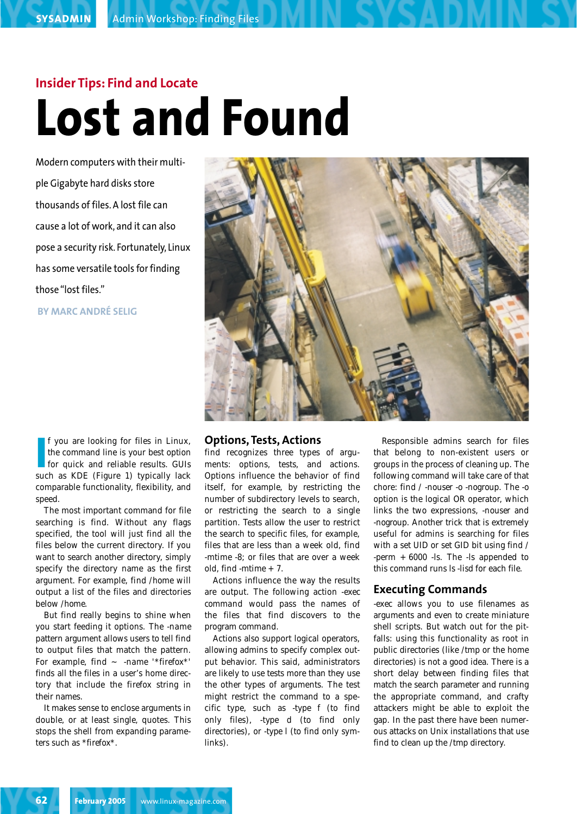# **Insider Tips: Find and Locate Lost and Found**

Modern computers with their multiple Gigabyte hard disks store thousands of files. A lost file can cause a lot of work, and it can also pose a security risk. Fortunately, Linux has some versatile tools for finding those "lost files."

**BY MARC ANDRÉ SELIG**



**I** f you are looking for files in Linux,<br>the command line is your best option<br>for quick and reliable results. GUIs<br>such as KDE (Figure 1) typically lack f you are looking for files in Linux, the command line is your best option for quick and reliable results. GUIs comparable functionality, flexibility, and speed.

The most important command for file searching is *find*. Without any flags specified, the tool will just find all the files below the current directory. If you want to search another directory, simply specify the directory name as the first argument. For example, *find /home* will output a list of the files and directories below */home*.

But *find* really begins to shine when you start feeding it options. The *-name* pattern argument allows users to tell *find* to output files that match the pattern. For example, *find ~ -name '\*firefox\*'* finds all the files in a user's home directory that include the *firefox* string in their names.

It makes sense to enclose arguments in double, or at least single, quotes. This stops the shell from expanding parameters such as *\*firefox\**.

#### **Options, Tests, Actions**

*find* recognizes three types of arguments: options, tests, and actions. Options influence the behavior of *find* itself, for example, by restricting the number of subdirectory levels to search, or restricting the search to a single partition. Tests allow the user to restrict the search to specific files, for example, files that are less than a week old, *find -mtime -8*; or files that are over a week old, *find -mtime +7*.

Actions influence the way the results are output. The following action *-exec command* would pass the names of the files that *find* discovers to the program *command*.

Actions also support logical operators, allowing admins to specify complex output behavior. This said, administrators are likely to use tests more than they use the other types of arguments. The test might restrict the command to a specific type, such as *-type f* (to find only files), *-type d* (to find only directories), or *-type l* (to find only symlinks).

Responsible admins search for files that belong to non-existent users or groups in the process of cleaning up. The following command will take care of that chore: *find / -nouser -o -nogroup*. The *-o* option is the logical OR operator, which links the two expressions, *-nouser* and *-nogroup*. Another trick that is extremely useful for admins is searching for files with a set UID or set GID bit using *find / -perm +6000 -ls*. The *-ls* appended to this command runs *ls -lisd* for each file.

### **Executing Commands**

*-exec* allows you to use filenames as arguments and even to create miniature shell scripts. But watch out for the pitfalls: using this functionality as root in public directories (like */tmp* or the home directories) is not a good idea. There is a short delay between finding files that match the search parameter and running the appropriate command, and crafty attackers might be able to exploit the gap. In the past there have been numerous attacks on Unix installations that use *find* to clean up the */tmp* directory.